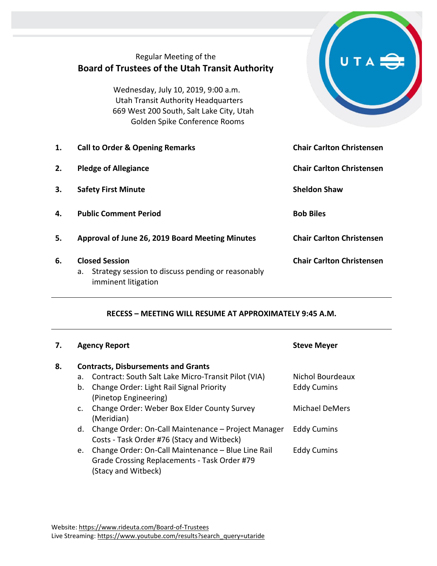|    | Regular Meeting of the<br><b>Board of Trustees of the Utah Transit Authority</b>                                                                               |                                  |
|----|----------------------------------------------------------------------------------------------------------------------------------------------------------------|----------------------------------|
|    | Wednesday, July 10, 2019, 9:00 a.m.<br><b>Utah Transit Authority Headquarters</b><br>669 West 200 South, Salt Lake City, Utah<br>Golden Spike Conference Rooms |                                  |
| 1. | <b>Call to Order &amp; Opening Remarks</b>                                                                                                                     | <b>Chair Carlton Christensen</b> |
| 2. | <b>Pledge of Allegiance</b>                                                                                                                                    | <b>Chair Carlton Christensen</b> |
| 3. | <b>Safety First Minute</b>                                                                                                                                     | <b>Sheldon Shaw</b>              |
| 4. | <b>Public Comment Period</b>                                                                                                                                   | <b>Bob Biles</b>                 |
| 5. | Approval of June 26, 2019 Board Meeting Minutes                                                                                                                | <b>Chair Carlton Christensen</b> |
| 6. | <b>Closed Session</b><br>Strategy session to discuss pending or reasonably<br>а.<br>imminent litigation                                                        | <b>Chair Carlton Christensen</b> |

**Contract Contract Contract Contract Contract Contract Contract Contract Contract Contract Contract Contract Co** 

## **RECESS – MEETING WILL RESUME AT APPROXIMATELY 9:45 A.M.**

| 7. |                                            | <b>Agency Report</b>                                                                                                      | <b>Steve Meyer</b> |  |  |
|----|--------------------------------------------|---------------------------------------------------------------------------------------------------------------------------|--------------------|--|--|
| 8. | <b>Contracts, Disbursements and Grants</b> |                                                                                                                           |                    |  |  |
|    | a.                                         | Contract: South Salt Lake Micro-Transit Pilot (VIA)                                                                       | Nichol Bourdeaux   |  |  |
|    | b.                                         | Change Order: Light Rail Signal Priority<br>(Pinetop Engineering)                                                         | <b>Eddy Cumins</b> |  |  |
|    | $\mathsf{C}$ .                             | Change Order: Weber Box Elder County Survey<br>(Meridian)                                                                 | Michael DeMers     |  |  |
|    | d.                                         | Change Order: On-Call Maintenance - Project Manager<br>Costs - Task Order #76 (Stacy and Witbeck)                         | <b>Eddy Cumins</b> |  |  |
|    | e.                                         | Change Order: On-Call Maintenance - Blue Line Rail<br>Grade Crossing Replacements - Task Order #79<br>(Stacy and Witbeck) | <b>Eddy Cumins</b> |  |  |